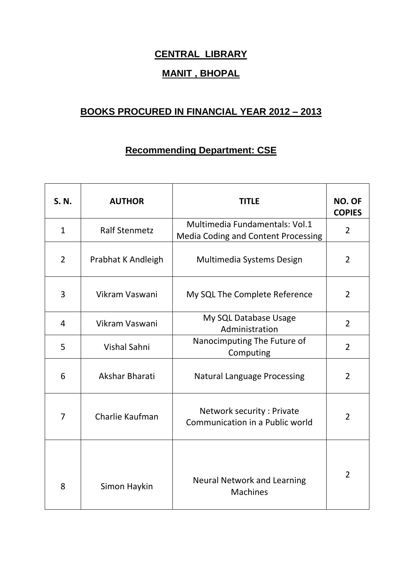## **CENTRAL LIBRARY**

## **MANIT , BHOPAL**

## **BOOKS PROCURED IN FINANCIAL YEAR 2012 – 2013**

## **Recommending Department: CSE**

| S. N.          | <b>AUTHOR</b>        | <b>TITLE</b>                                                          | <b>NO. OF</b><br><b>COPIES</b> |
|----------------|----------------------|-----------------------------------------------------------------------|--------------------------------|
| $\mathbf{1}$   | <b>Ralf Stenmetz</b> | Multimedia Fundamentals: Vol.1<br>Media Coding and Content Processing | $\overline{2}$                 |
| $\overline{2}$ | Prabhat K Andleigh   | Multimedia Systems Design                                             | $\overline{2}$                 |
| 3              | Vikram Vaswani       | My SQL The Complete Reference                                         | $\overline{2}$                 |
| 4              | Vikram Vaswani       | My SQL Database Usage<br>Administration                               | $\overline{2}$                 |
| 5              | <b>Vishal Sahni</b>  | Nanocimputing The Future of<br>Computing                              | $\overline{2}$                 |
| 6              | Akshar Bharati       | <b>Natural Language Processing</b>                                    | $\overline{2}$                 |
| 7              | Charlie Kaufman      | Network security: Private<br>Communication in a Public world          | $\overline{2}$                 |
| 8              | Simon Haykin         | <b>Neural Network and Learning</b><br><b>Machines</b>                 | 2                              |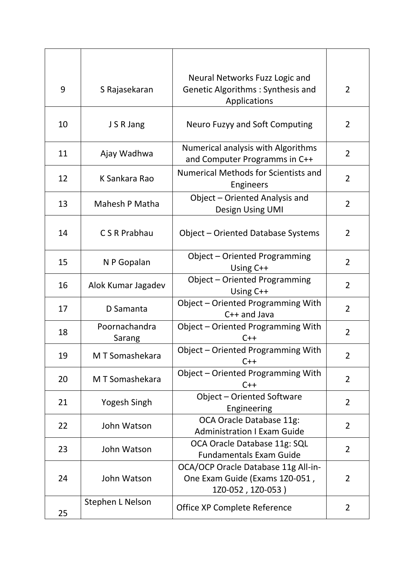| 9  | S Rajasekaran           | Neural Networks Fuzz Logic and<br>Genetic Algorithms: Synthesis and<br>Applications        | $\overline{2}$ |
|----|-------------------------|--------------------------------------------------------------------------------------------|----------------|
| 10 | J S R Jang              | Neuro Fuzyy and Soft Computing                                                             | 2              |
| 11 | Ajay Wadhwa             | Numerical analysis with Algorithms<br>and Computer Programms in C++                        | $\overline{2}$ |
| 12 | K Sankara Rao           | <b>Numerical Methods for Scientists and</b><br>Engineers                                   | $\overline{2}$ |
| 13 | Mahesh P Matha          | Object - Oriented Analysis and<br>Design Using UMI                                         | $\overline{2}$ |
| 14 | C S R Prabhau           | Object - Oriented Database Systems                                                         | $\overline{2}$ |
| 15 | N P Gopalan             | Object - Oriented Programming<br>Using C++                                                 | $\overline{2}$ |
| 16 | Alok Kumar Jagadev      | Object - Oriented Programming<br>Using C++                                                 | $\overline{2}$ |
| 17 | D Samanta               | Object - Oriented Programming With<br>$C++$ and Java                                       | $\overline{2}$ |
| 18 | Poornachandra<br>Sarang | Object - Oriented Programming With<br>$C++$                                                | $\overline{2}$ |
| 19 | M T Somashekara         | Object - Oriented Programming With<br>$C++$                                                | $\overline{2}$ |
| 20 | M T Somashekara         | Object - Oriented Programming With<br>$C++$                                                | $\overline{2}$ |
| 21 | Yogesh Singh            | Object - Oriented Software<br>Engineering                                                  | $\overline{2}$ |
| 22 | John Watson             | OCA Oracle Database 11g:<br><b>Administration I Exam Guide</b>                             | $\overline{2}$ |
| 23 | John Watson             | OCA Oracle Database 11g: SQL<br><b>Fundamentals Exam Guide</b>                             | $\overline{2}$ |
| 24 | John Watson             | OCA/OCP Oracle Database 11g All-in-<br>One Exam Guide (Exams 1Z0-051,<br>1Z0-052, 1Z0-053) | $\overline{2}$ |
| 25 | Stephen L Nelson        | Office XP Complete Reference                                                               | 2              |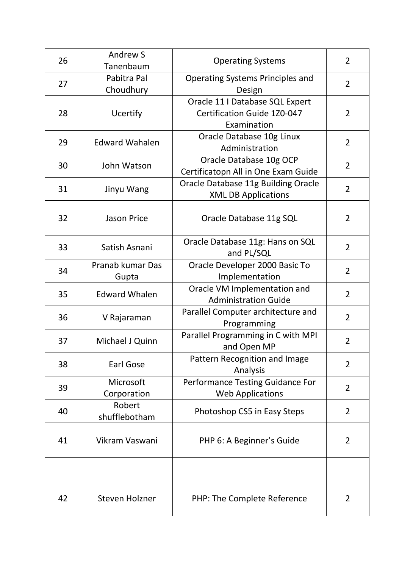| 26 | <b>Andrew S</b><br>Tanenbaum | <b>Operating Systems</b>                                                             | $\overline{2}$ |
|----|------------------------------|--------------------------------------------------------------------------------------|----------------|
| 27 | Pabitra Pal<br>Choudhury     | <b>Operating Systems Principles and</b><br>Design                                    | $\overline{2}$ |
| 28 | <b>Ucertify</b>              | Oracle 11   Database SQL Expert<br><b>Certification Guide 1Z0-047</b><br>Examination | $\overline{2}$ |
| 29 | <b>Edward Wahalen</b>        | Oracle Database 10g Linux<br>Administration                                          | $\overline{2}$ |
| 30 | John Watson                  | Oracle Database 10g OCP<br>Certificatopn All in One Exam Guide                       | $\overline{2}$ |
| 31 | Jinyu Wang                   | Oracle Database 11g Building Oracle<br><b>XML DB Applications</b>                    | $\overline{2}$ |
| 32 | <b>Jason Price</b>           | Oracle Database 11g SQL                                                              | $\overline{2}$ |
| 33 | Satish Asnani                | Oracle Database 11g: Hans on SQL<br>and PL/SQL                                       | $\overline{2}$ |
| 34 | Pranab kumar Das<br>Gupta    | Oracle Developer 2000 Basic To<br>Implementation                                     | $\overline{2}$ |
| 35 | <b>Edward Whalen</b>         | Oracle VM Implementation and<br><b>Administration Guide</b>                          | $\overline{2}$ |
| 36 | V Rajaraman                  | Parallel Computer architecture and<br>Programming                                    | $\overline{2}$ |
| 37 | Michael J Quinn              | Parallel Programming in C with MPI<br>and Open MP                                    | $\overline{2}$ |
| 38 | Earl Gose                    | Pattern Recognition and Image<br>Analysis                                            | $\overline{2}$ |
| 39 | Microsoft<br>Corporation     | Performance Testing Guidance For<br><b>Web Applications</b>                          | $\overline{2}$ |
| 40 | Robert<br>shufflebotham      | Photoshop CS5 in Easy Steps                                                          | $\overline{2}$ |
| 41 | Vikram Vaswani               | PHP 6: A Beginner's Guide                                                            | 2              |
| 42 | Steven Holzner               | PHP: The Complete Reference                                                          | $\overline{2}$ |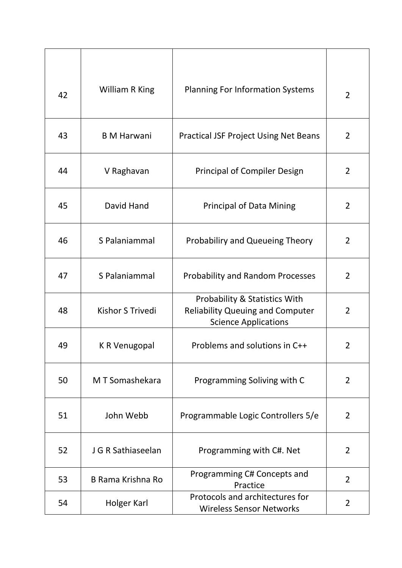| 42 | <b>William R King</b>    | <b>Planning For Information Systems</b>                                                                 | 2              |
|----|--------------------------|---------------------------------------------------------------------------------------------------------|----------------|
| 43 | <b>B</b> M Harwani       | <b>Practical JSF Project Using Net Beans</b>                                                            | $\overline{2}$ |
| 44 | V Raghavan               | <b>Principal of Compiler Design</b>                                                                     | $\overline{2}$ |
| 45 | David Hand               | <b>Principal of Data Mining</b>                                                                         | 2              |
| 46 | S Palaniammal            | <b>Probabiliry and Queueing Theory</b>                                                                  | $\overline{2}$ |
| 47 | S Palaniammal            | <b>Probability and Random Processes</b>                                                                 | $\overline{2}$ |
| 48 | Kishor S Trivedi         | Probability & Statistics With<br><b>Reliability Queuing and Computer</b><br><b>Science Applications</b> | $\overline{2}$ |
| 49 | K R Venugopal            | Problems and solutions in C++                                                                           | 2              |
| 50 | M T Somashekara          | Programming Soliving with C                                                                             | 2              |
| 51 | John Webb                | Programmable Logic Controllers 5/e                                                                      | $\overline{2}$ |
| 52 | J G R Sathiaseelan       | Programming with C#. Net                                                                                | $\overline{2}$ |
| 53 | <b>B Rama Krishna Ro</b> | Programming C# Concepts and<br>Practice                                                                 | 2              |
| 54 | Holger Karl              | Protocols and architectures for<br><b>Wireless Sensor Networks</b>                                      | 2              |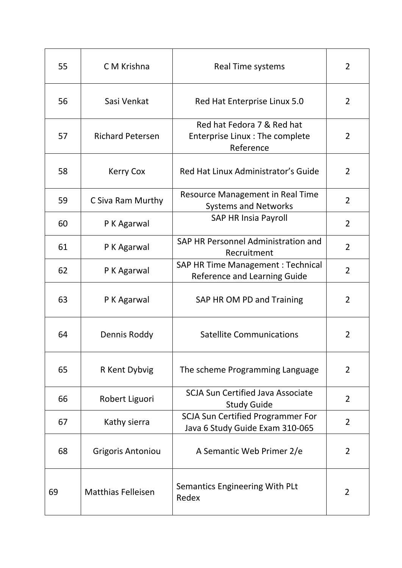| 55 | C M Krishna               | <b>Real Time systems</b>                                                    | $\overline{2}$ |
|----|---------------------------|-----------------------------------------------------------------------------|----------------|
| 56 | Sasi Venkat               | Red Hat Enterprise Linux 5.0                                                | 2              |
| 57 | <b>Richard Petersen</b>   | Red hat Fedora 7 & Red hat<br>Enterprise Linux: The complete<br>Reference   | 2              |
| 58 | <b>Kerry Cox</b>          | Red Hat Linux Administrator's Guide                                         | $\overline{2}$ |
| 59 | C Siva Ram Murthy         | Resource Management in Real Time<br><b>Systems and Networks</b>             | $\overline{2}$ |
| 60 | P K Agarwal               | <b>SAP HR Insia Payroll</b>                                                 | $\overline{2}$ |
| 61 | P K Agarwal               | SAP HR Personnel Administration and<br>Recruitment                          | $\overline{2}$ |
| 62 | P K Agarwal               | SAP HR Time Management : Technical<br><b>Reference and Learning Guide</b>   | $\overline{2}$ |
| 63 | P K Agarwal               | SAP HR OM PD and Training                                                   | $\overline{2}$ |
| 64 | Dennis Roddy              | <b>Satellite Communications</b>                                             | 2              |
| 65 | R Kent Dybvig             | The scheme Programming Language                                             | $\overline{2}$ |
| 66 | Robert Liguori            | <b>SCJA Sun Certified Java Associate</b><br><b>Study Guide</b>              | $\overline{2}$ |
| 67 | Kathy sierra              | <b>SCJA Sun Certified Programmer For</b><br>Java 6 Study Guide Exam 310-065 | $\overline{2}$ |
| 68 | <b>Grigoris Antoniou</b>  | A Semantic Web Primer 2/e                                                   | $\overline{2}$ |
| 69 | <b>Matthias Felleisen</b> | Semantics Engineering With PLt<br>Redex                                     | $\overline{2}$ |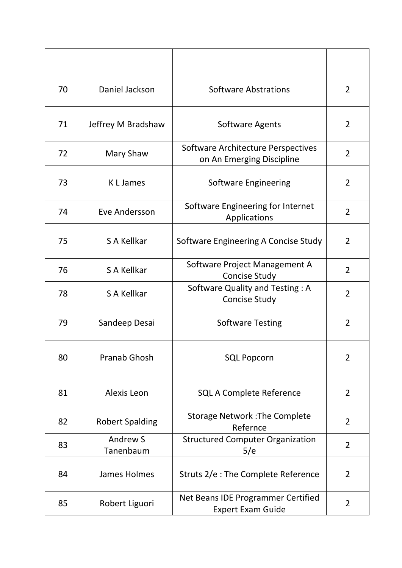| 70 | Daniel Jackson         | <b>Software Abstrations</b>                                     | $\overline{2}$ |
|----|------------------------|-----------------------------------------------------------------|----------------|
| 71 | Jeffrey M Bradshaw     | <b>Software Agents</b>                                          | 2              |
| 72 | Mary Shaw              | Software Architecture Perspectives<br>on An Emerging Discipline | $\overline{2}$ |
| 73 | K L James              | <b>Software Engineering</b>                                     | 2              |
| 74 | Eve Andersson          | Software Engineering for Internet<br>Applications               | $\overline{2}$ |
| 75 | S A Kellkar            | Software Engineering A Concise Study                            | $\overline{2}$ |
| 76 | S A Kellkar            | Software Project Management A<br><b>Concise Study</b>           | $\overline{2}$ |
| 78 | S A Kellkar            | Software Quality and Testing: A<br><b>Concise Study</b>         | 2              |
| 79 | Sandeep Desai          | <b>Software Testing</b>                                         | $\overline{2}$ |
| 80 | Pranab Ghosh           | <b>SQL Popcorn</b>                                              | 2              |
| 81 | Alexis Leon            | <b>SQL A Complete Reference</b>                                 | $\overline{2}$ |
| 82 | <b>Robert Spalding</b> | <b>Storage Network: The Complete</b><br>Refernce                | $\overline{2}$ |
| 83 | Andrew S<br>Tanenbaum  | <b>Structured Computer Organization</b><br>5/e                  | $\overline{2}$ |
| 84 | James Holmes           | Struts 2/e : The Complete Reference                             | $\overline{2}$ |
| 85 | Robert Liguori         | Net Beans IDE Programmer Certified<br><b>Expert Exam Guide</b>  | 2              |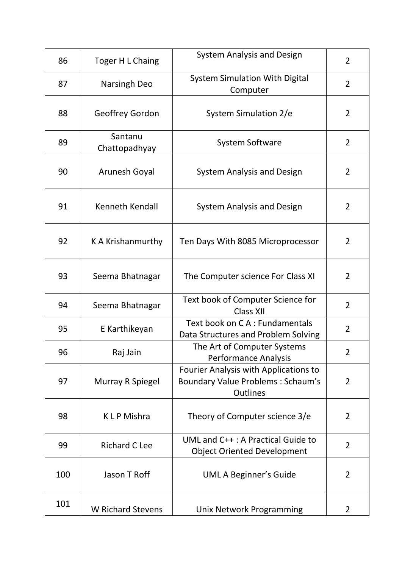| 86  | Toger H L Chaing         | <b>System Analysis and Design</b>                                                                    | $\overline{2}$ |
|-----|--------------------------|------------------------------------------------------------------------------------------------------|----------------|
| 87  | Narsingh Deo             | <b>System Simulation With Digital</b><br>Computer                                                    | $\overline{2}$ |
| 88  | <b>Geoffrey Gordon</b>   | System Simulation 2/e                                                                                | $\overline{2}$ |
| 89  | Santanu<br>Chattopadhyay | <b>System Software</b>                                                                               | $\overline{2}$ |
| 90  | Arunesh Goyal            | <b>System Analysis and Design</b>                                                                    | $\overline{2}$ |
| 91  | Kenneth Kendall          | <b>System Analysis and Design</b>                                                                    | 2              |
| 92  | K A Krishanmurthy        | Ten Days With 8085 Microprocessor                                                                    | $\overline{2}$ |
| 93  | Seema Bhatnagar          | The Computer science For Class XI                                                                    | $\overline{2}$ |
| 94  | Seema Bhatnagar          | Text book of Computer Science for<br><b>Class XII</b>                                                | $\overline{2}$ |
| 95  | E Karthikeyan            | Text book on CA: Fundamentals<br>Data Structures and Problem Solving                                 | $\overline{2}$ |
| 96  | Raj Jain                 | The Art of Computer Systems<br><b>Performance Analysis</b>                                           | $\overline{2}$ |
| 97  | Murray R Spiegel         | Fourier Analysis with Applications to<br><b>Boundary Value Problems: Schaum's</b><br><b>Outlines</b> | $\overline{2}$ |
| 98  | <b>KLP</b> Mishra        | Theory of Computer science 3/e                                                                       | $\overline{2}$ |
| 99  | <b>Richard C Lee</b>     | UML and C++: A Practical Guide to<br><b>Object Oriented Development</b>                              | $\overline{2}$ |
| 100 | Jason T Roff             | UML A Beginner's Guide                                                                               | 2              |
| 101 | <b>W</b> Richard Stevens | Unix Network Programming                                                                             | 2              |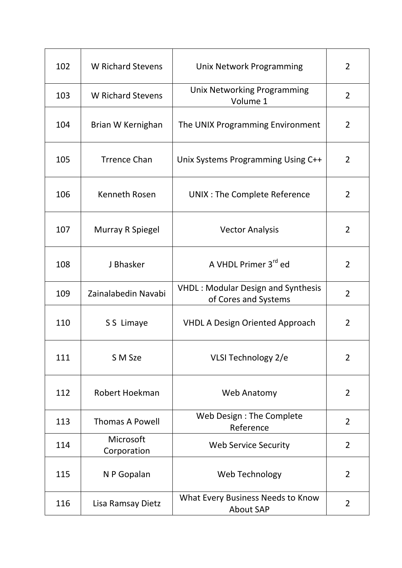| 102 | <b>W</b> Richard Stevens | Unix Network Programming                                          | $\overline{2}$ |
|-----|--------------------------|-------------------------------------------------------------------|----------------|
| 103 | <b>W</b> Richard Stevens | <b>Unix Networking Programming</b><br>Volume 1                    | $\overline{2}$ |
| 104 | Brian W Kernighan        | The UNIX Programming Environment                                  | 2              |
| 105 | <b>Trrence Chan</b>      | Unix Systems Programming Using C++                                | $\overline{2}$ |
| 106 | Kenneth Rosen            | UNIX : The Complete Reference                                     | $\overline{2}$ |
| 107 | Murray R Spiegel         | <b>Vector Analysis</b>                                            | 2              |
| 108 | J Bhasker                | A VHDL Primer 3rd ed                                              | 2              |
| 109 | Zainalabedin Navabi      | <b>VHDL: Modular Design and Synthesis</b><br>of Cores and Systems | $\overline{2}$ |
| 110 | S S Limaye               | <b>VHDL A Design Oriented Approach</b>                            | 2              |
| 111 | S M Sze                  | VLSI Technology 2/e                                               | $\overline{2}$ |
| 112 | Robert Hoekman           | <b>Web Anatomy</b>                                                | $\overline{2}$ |
| 113 | <b>Thomas A Powell</b>   | Web Design : The Complete<br>Reference                            | $\overline{2}$ |
| 114 | Microsoft<br>Corporation | <b>Web Service Security</b>                                       | $\overline{2}$ |
| 115 | N P Gopalan              | Web Technology                                                    | $\overline{2}$ |
| 116 | Lisa Ramsay Dietz        | What Every Business Needs to Know<br><b>About SAP</b>             | $\overline{2}$ |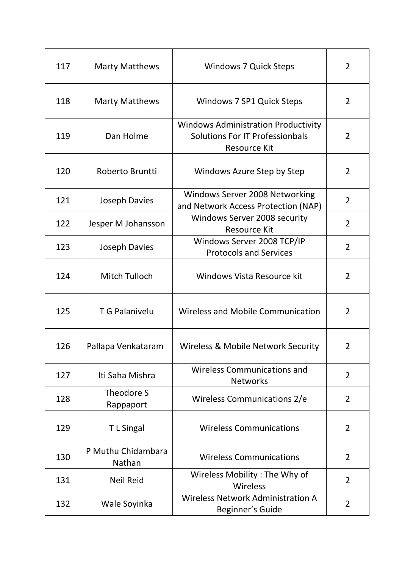| 117 | <b>Marty Matthews</b>        | <b>Windows 7 Quick Steps</b>                                                                         | $\overline{2}$ |
|-----|------------------------------|------------------------------------------------------------------------------------------------------|----------------|
| 118 | <b>Marty Matthews</b>        | Windows 7 SP1 Quick Steps                                                                            | $\overline{2}$ |
| 119 | Dan Holme                    | <b>Windows Administration Productivity</b><br>Solutions For IT Professionbals<br><b>Resource Kit</b> | 2              |
| 120 | Roberto Bruntti              | Windows Azure Step by Step                                                                           | $\overline{2}$ |
| 121 | Joseph Davies                | Windows Server 2008 Networking<br>and Network Access Protection (NAP)                                | $\overline{2}$ |
| 122 | Jesper M Johansson           | Windows Server 2008 security<br><b>Resource Kit</b>                                                  | $\overline{2}$ |
| 123 | <b>Joseph Davies</b>         | Windows Server 2008 TCP/IP<br><b>Protocols and Services</b>                                          | $\overline{2}$ |
| 124 | Mitch Tulloch                | Windows Vista Resource kit                                                                           | $\overline{2}$ |
| 125 | <b>T G Palanivelu</b>        | <b>Wireless and Mobile Communication</b>                                                             | 2              |
| 126 | Pallapa Venkataram           | Wireless & Mobile Network Security                                                                   | $\overline{2}$ |
| 127 | Iti Saha Mishra              | <b>Wireless Communications and</b><br><b>Networks</b>                                                | $\overline{2}$ |
| 128 | Theodore S<br>Rappaport      | Wireless Communications 2/e                                                                          | 2              |
| 129 | T L Singal                   | <b>Wireless Communications</b>                                                                       | 2              |
| 130 | P Muthu Chidambara<br>Nathan | <b>Wireless Communications</b>                                                                       | 2              |
| 131 | <b>Neil Reid</b>             | Wireless Mobility: The Why of<br>Wireless                                                            | 2              |
| 132 | Wale Soyinka                 | <b>Wireless Network Administration A</b><br>Beginner's Guide                                         | 2              |